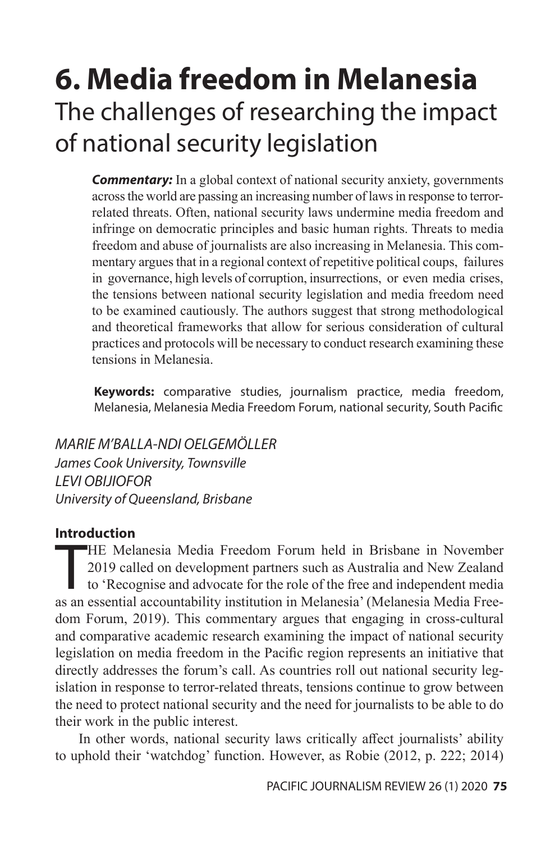# **6. Media freedom in Melanesia** The challenges of researching the impact of national security legislation

**Commentary:** In a global context of national security anxiety, governments across the world are passing an increasing number of laws in response to terrorrelated threats. Often, national security laws undermine media freedom and infringe on democratic principles and basic human rights. Threats to media freedom and abuse of journalists are also increasing in Melanesia. This commentary argues that in a regional context of repetitive political coups, failures in governance, high levels of corruption, insurrections, or even media crises, the tensions between national security legislation and media freedom need to be examined cautiously. The authors suggest that strong methodological and theoretical frameworks that allow for serious consideration of cultural practices and protocols will be necessary to conduct research examining these tensions in Melanesia.

**Keywords:** comparative studies, journalism practice, media freedom, Melanesia, Melanesia Media Freedom Forum, national security, South Pacific

*MARIE M'BALLA-NDI OELGEMÖLLER James Cook University, Townsville LEVI OBIJIOFOR University of Queensland, Brisbane*

# **Introduction**

HE Melanesia Media Freedom Forum held in Brisbane in November<br>2019 called on development partners such as Australia and New Zealand<br>to 'Recognise and advocate for the role of the free and independent media<br>as an essential HE Melanesia Media Freedom Forum held in Brisbane in November 2019 called on development partners such as Australia and New Zealand to 'Recognise and advocate for the role of the free and independent media dom Forum, 2019). This commentary argues that engaging in cross-cultural and comparative academic research examining the impact of national security legislation on media freedom in the Pacific region represents an initiative that directly addresses the forum's call. As countries roll out national security legislation in response to terror-related threats, tensions continue to grow between the need to protect national security and the need for journalists to be able to do their work in the public interest.

In other words, national security laws critically affect journalists' ability to uphold their 'watchdog' function. However, as Robie (2012, p. 222; 2014)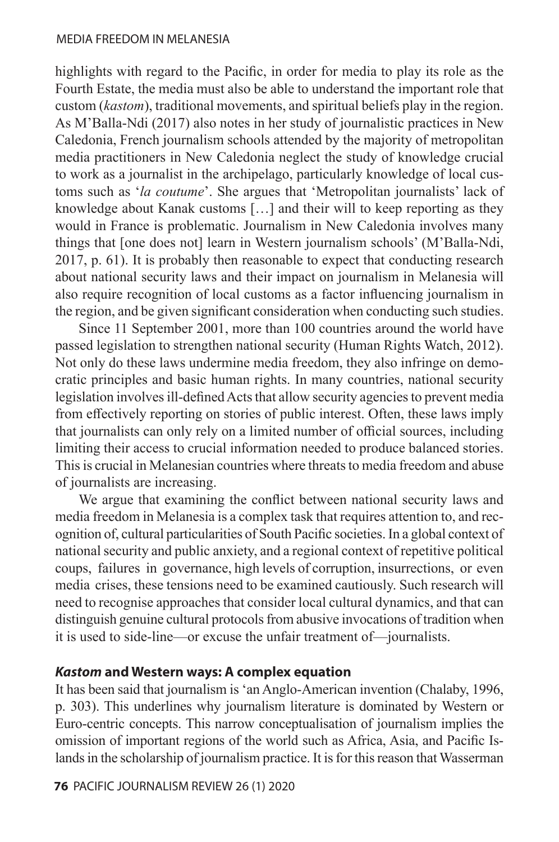highlights with regard to the Pacific, in order for media to play its role as the Fourth Estate, the media must also be able to understand the important role that custom (*kastom*), traditional movements, and spiritual beliefs play in the region. As M'Balla-Ndi (2017) also notes in her study of journalistic practices in New Caledonia, French journalism schools attended by the majority of metropolitan media practitioners in New Caledonia neglect the study of knowledge crucial to work as a journalist in the archipelago, particularly knowledge of local customs such as '*la coutume*'. She argues that 'Metropolitan journalists' lack of knowledge about Kanak customs […] and their will to keep reporting as they would in France is problematic. Journalism in New Caledonia involves many things that [one does not] learn in Western journalism schools' (M'Balla-Ndi, 2017, p. 61). It is probably then reasonable to expect that conducting research about national security laws and their impact on journalism in Melanesia will also require recognition of local customs as a factor influencing journalism in the region, and be given significant consideration when conducting such studies.

Since 11 September 2001, more than 100 countries around the world have passed legislation to strengthen national security (Human Rights Watch, 2012). Not only do these laws undermine media freedom, they also infringe on democratic principles and basic human rights. In many countries, national security legislation involves ill-defined Acts that allow security agencies to prevent media from effectively reporting on stories of public interest. Often, these laws imply that journalists can only rely on a limited number of official sources, including limiting their access to crucial information needed to produce balanced stories. This is crucial in Melanesian countries where threats to media freedom and abuse of journalists are increasing.

We argue that examining the conflict between national security laws and media freedom in Melanesia is a complex task that requires attention to, and recognition of, cultural particularities of South Pacific societies. In a global context of national security and public anxiety, and a regional context of repetitive political coups, failures in governance, high levels of corruption, insurrections, or even media crises, these tensions need to be examined cautiously. Such research will need to recognise approaches that consider local cultural dynamics, and that can distinguish genuine cultural protocols from abusive invocations of tradition when it is used to side-line—or excuse the unfair treatment of—journalists.

# *Kastom* **and Western ways: A complex equation**

It has been said that journalism is 'an Anglo-American invention (Chalaby, 1996, p. 303). This underlines why journalism literature is dominated by Western or Euro-centric concepts. This narrow conceptualisation of journalism implies the omission of important regions of the world such as Africa, Asia, and Pacific Islands in the scholarship of journalism practice. It is for this reason that Wasserman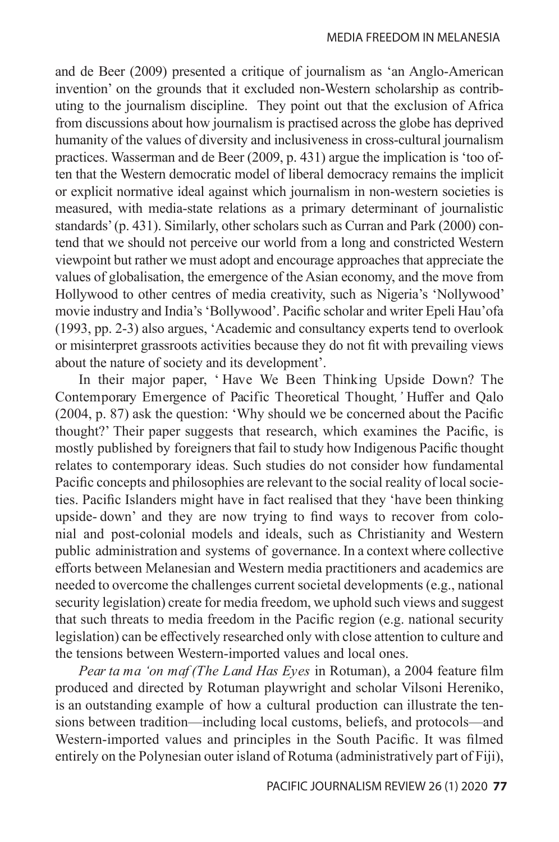and de Beer (2009) presented a critique of journalism as 'an Anglo-American invention' on the grounds that it excluded non-Western scholarship as contributing to the journalism discipline. They point out that the exclusion of Africa from discussions about how journalism is practised across the globe has deprived humanity of the values of diversity and inclusiveness in cross-cultural journalism practices. Wasserman and de Beer (2009, p. 431) argue the implication is 'too often that the Western democratic model of liberal democracy remains the implicit or explicit normative ideal against which journalism in non-western societies is measured, with media-state relations as a primary determinant of journalistic standards' (p. 431). Similarly, other scholars such as Curran and Park (2000) contend that we should not perceive our world from a long and constricted Western viewpoint but rather we must adopt and encourage approaches that appreciate the values of globalisation, the emergence of the Asian economy, and the move from Hollywood to other centres of media creativity, such as Nigeria's 'Nollywood' movie industry and India's 'Bollywood'. Pacific scholar and writer Epeli Hau'ofa (1993, pp. 2-3) also argues, 'Academic and consultancy experts tend to overlook or misinterpret grassroots activities because they do not fit with prevailing views about the nature of society and its development'.

In their major paper, ' Have We Been Thinking Upside Down? The Contemporary Emergence of Pacific Theoretical Thought*,'* Huffer and Qalo (2004, p. 87) ask the question: 'Why should we be concerned about the Pacific thought?' Their paper suggests that research, which examines the Pacific, is mostly published by foreigners that fail to study how Indigenous Pacific thought relates to contemporary ideas. Such studies do not consider how fundamental Pacific concepts and philosophies are relevant to the social reality of local societies. Pacific Islanders might have in fact realised that they 'have been thinking upside- down' and they are now trying to find ways to recover from colonial and post-colonial models and ideals, such as Christianity and Western public administration and systems of governance. In a context where collective efforts between Melanesian and Western media practitioners and academics are needed to overcome the challenges current societal developments (e.g., national security legislation) create for media freedom, we uphold such views and suggest that such threats to media freedom in the Pacific region (e.g. national security legislation) can be effectively researched only with close attention to culture and the tensions between Western-imported values and local ones.

*Pear ta ma 'on maf (The Land Has Eyes* in Rotuman), a 2004 feature film produced and directed by Rotuman playwright and scholar Vilsoni Hereniko, is an outstanding example of how a cultural production can illustrate the tensions between tradition—including local customs, beliefs, and protocols—and Western-imported values and principles in the South Pacific. It was filmed entirely on the Polynesian outer island of Rotuma (administratively part of Fiji),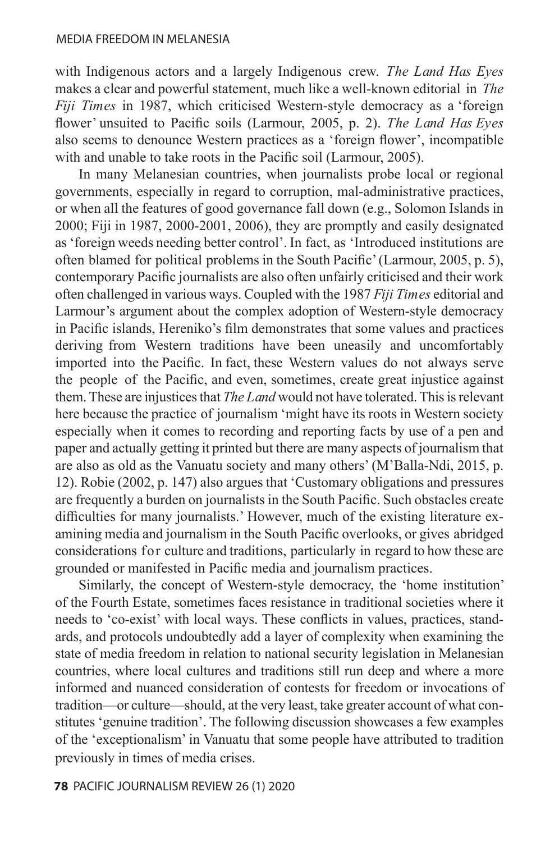with Indigenous actors and a largely Indigenous crew. *The Land Has Eyes*  makes a clear and powerful statement, much like a well-known editorial in *The Fiji Times* in 1987, which criticised Western-style democracy as a 'foreign flower' unsuited to Pacific soils (Larmour, 2005, p. 2). *The Land Has Eyes*  also seems to denounce Western practices as a 'foreign flower', incompatible with and unable to take roots in the Pacific soil (Larmour, 2005).

In many Melanesian countries, when journalists probe local or regional governments, especially in regard to corruption, mal-administrative practices, or when all the features of good governance fall down (e.g., Solomon Islands in 2000; Fiji in 1987, 2000-2001, 2006), they are promptly and easily designated as 'foreign weeds needing better control'. In fact, as 'Introduced institutions are often blamed for political problems in the South Pacific' (Larmour, 2005, p. 5), contemporary Pacific journalists are also often unfairly criticised and their work often challenged in various ways. Coupled with the 1987 *Fiji Times* editorial and Larmour's argument about the complex adoption of Western-style democracy in Pacific islands, Hereniko's film demonstrates that some values and practices deriving from Western traditions have been uneasily and uncomfortably imported into the Pacific. In fact, these Western values do not always serve the people of the Pacific, and even, sometimes, create great injustice against them. These are injustices that *The Land* would not have tolerated. This is relevant here because the practice of journalism 'might have its roots in Western society especially when it comes to recording and reporting facts by use of a pen and paper and actually getting it printed but there are many aspects of journalism that are also as old as the Vanuatu society and many others' (M'Balla-Ndi, 2015, p. 12). Robie (2002, p. 147) also argues that 'Customary obligations and pressures are frequently a burden on journalists in the South Pacific. Such obstacles create difficulties for many journalists.' However, much of the existing literature examining media and journalism in the South Pacific overlooks, or gives abridged considerations for culture and traditions, particularly in regard to how these are grounded or manifested in Pacific media and journalism practices.

Similarly, the concept of Western-style democracy, the 'home institution' of the Fourth Estate, sometimes faces resistance in traditional societies where it needs to 'co-exist' with local ways. These conflicts in values, practices, standards, and protocols undoubtedly add a layer of complexity when examining the state of media freedom in relation to national security legislation in Melanesian countries, where local cultures and traditions still run deep and where a more informed and nuanced consideration of contests for freedom or invocations of tradition—or culture—should, at the very least, take greater account of what constitutes 'genuine tradition'. The following discussion showcases a few examples of the 'exceptionalism' in Vanuatu that some people have attributed to tradition previously in times of media crises.

# **78** PACIFIC JOURNALISM REVIEW 26 (1) 2020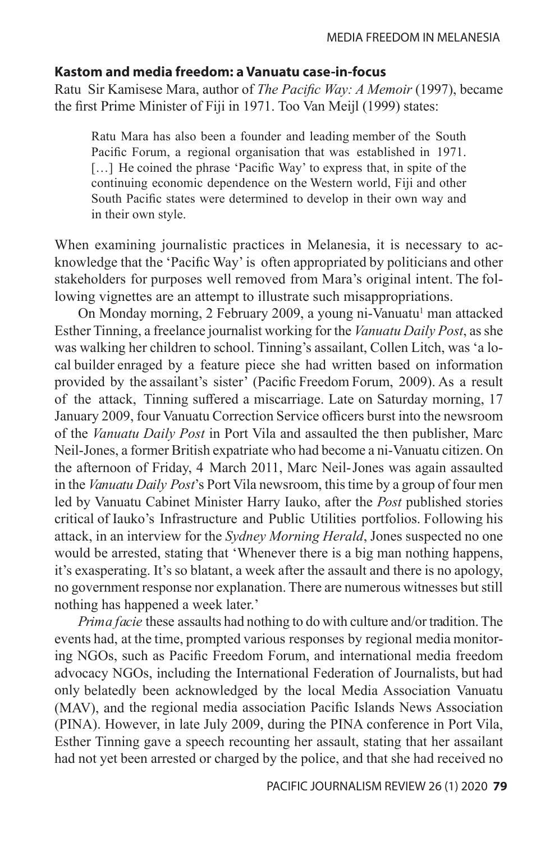# **Kastom and media freedom: a Vanuatu case-in-focus**

Ratu Sir Kamisese Mara, author of *The Pacific Way: A Memoir* (1997), became the first Prime Minister of Fiji in 1971. Too Van Meijl (1999) states:

Ratu Mara has also been a founder and leading member of the South Pacific Forum, a regional organisation that was established in 1971. [...] He coined the phrase 'Pacific Way' to express that, in spite of the continuing economic dependence on the Western world, Fiji and other South Pacific states were determined to develop in their own way and in their own style.

When examining journalistic practices in Melanesia, it is necessary to acknowledge that the 'Pacific Way' is often appropriated by politicians and other stakeholders for purposes well removed from Mara's original intent. The following vignettes are an attempt to illustrate such misappropriations.

On Monday morning, 2 February 2009, a young ni-Vanuatu<sup>1</sup> man attacked Esther Tinning, a freelance journalist working for the *Vanuatu Daily Post*, as she was walking her children to school. Tinning's assailant, Collen Litch, was 'a local builder enraged by a feature piece she had written based on information provided by the assailant's sister' (Pacific Freedom Forum, 2009). As a result of the attack, Tinning suffered a miscarriage. Late on Saturday morning, 17 January 2009, four Vanuatu Correction Service officers burst into the newsroom of the *Vanuatu Daily Post* in Port Vila and assaulted the then publisher, Marc Neil-Jones, a former British expatriate who had become a ni-Vanuatu citizen. On the afternoon of Friday, 4 March 2011, Marc Neil-Jones was again assaulted in the *Vanuatu Daily Post*'s Port Vila newsroom, this time by a group of four men led by Vanuatu Cabinet Minister Harry Iauko, after the *Post* published stories critical of Iauko's Infrastructure and Public Utilities portfolios. Following his attack, in an interview for the *Sydney Morning Herald*, Jones suspected no one would be arrested, stating that 'Whenever there is a big man nothing happens, it's exasperating. It's so blatant, a week after the assault and there is no apology, no government response nor explanation. There are numerous witnesses but still nothing has happened a week later.'

*Prima facie* these assaults had nothing to do with culture and/or tradition. The events had, at the time, prompted various responses by regional media monitoring NGOs, such as Pacific Freedom Forum, and international media freedom advocacy NGOs, including the International Federation of Journalists, but had only belatedly been acknowledged by the local Media Association Vanuatu (MAV), and the regional media association Pacific Islands News Association (PINA). However, in late July 2009, during the PINA conference in Port Vila, Esther Tinning gave a speech recounting her assault, stating that her assailant had not yet been arrested or charged by the police, and that she had received no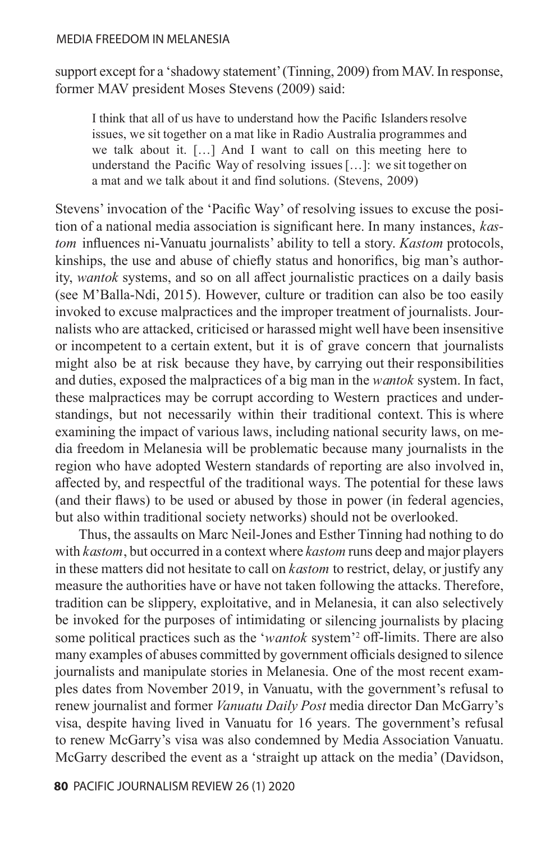support except for a 'shadowy statement' (Tinning, 2009) from MAV. In response, former MAV president Moses Stevens (2009) said:

I think that all of us have to understand how the Pacific Islanders resolve issues, we sit together on a mat like in Radio Australia programmes and we talk about it. […] And I want to call on this meeting here to understand the Pacific Way of resolving issues […]: we sit together on a mat and we talk about it and find solutions. (Stevens, 2009)

Stevens' invocation of the 'Pacific Way' of resolving issues to excuse the position of a national media association is significant here. In many instances, *kastom* influences ni-Vanuatu journalists' ability to tell a story. *Kastom* protocols, kinships, the use and abuse of chiefly status and honorifics, big man's authority, *wantok* systems, and so on all affect journalistic practices on a daily basis (see M'Balla-Ndi, 2015). However, culture or tradition can also be too easily invoked to excuse malpractices and the improper treatment of journalists. Journalists who are attacked, criticised or harassed might well have been insensitive or incompetent to a certain extent, but it is of grave concern that journalists might also be at risk because they have, by carrying out their responsibilities and duties, exposed the malpractices of a big man in the *wantok* system. In fact, these malpractices may be corrupt according to Western practices and understandings, but not necessarily within their traditional context. This is where examining the impact of various laws, including national security laws, on media freedom in Melanesia will be problematic because many journalists in the region who have adopted Western standards of reporting are also involved in, affected by, and respectful of the traditional ways. The potential for these laws (and their flaws) to be used or abused by those in power (in federal agencies, but also within traditional society networks) should not be overlooked.

Thus, the assaults on Marc Neil-Jones and Esther Tinning had nothing to do with *kastom*, but occurred in a context where *kastom* runs deep and major players in these matters did not hesitate to call on *kastom* to restrict, delay, or justify any measure the authorities have or have not taken following the attacks. Therefore, tradition can be slippery, exploitative, and in Melanesia, it can also selectively be invoked for the purposes of intimidating or silencing journalists by placing some political practices such as the '*wantok* system'2 off-limits. There are also many examples of abuses committed by government officials designed to silence journalists and manipulate stories in Melanesia. One of the most recent examples dates from November 2019, in Vanuatu, with the government's refusal to renew journalist and former *Vanuatu Daily Post* media director Dan McGarry's visa, despite having lived in Vanuatu for 16 years. The government's refusal to renew McGarry's visa was also condemned by Media Association Vanuatu. McGarry described the event as a 'straight up attack on the media' (Davidson,

**80** PACIFIC JOURNALISM REVIEW 26 (1) 2020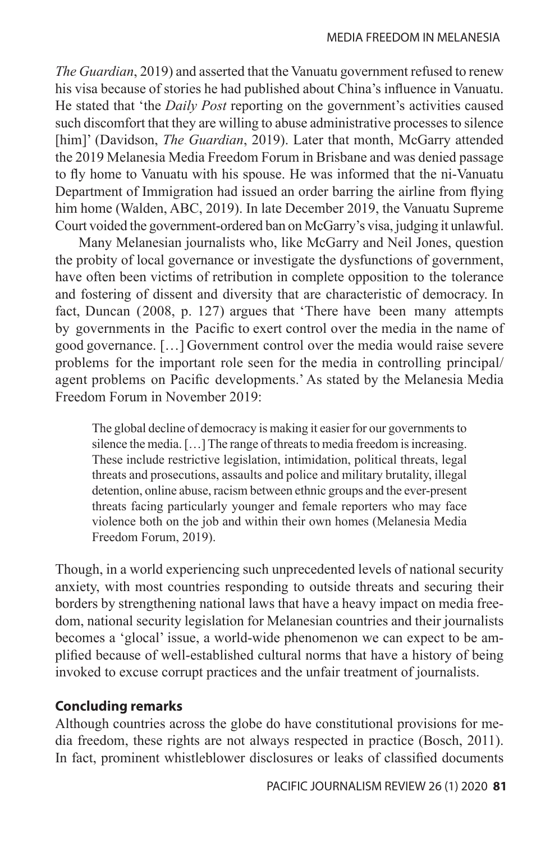*The Guardian*, 2019) and asserted that the Vanuatu government refused to renew his visa because of stories he had published about China's influence in Vanuatu. He stated that 'the *Daily Post* reporting on the government's activities caused such discomfort that they are willing to abuse administrative processes to silence [him]' (Davidson, *The Guardian*, 2019). Later that month, McGarry attended the 2019 Melanesia Media Freedom Forum in Brisbane and was denied passage to fly home to Vanuatu with his spouse. He was informed that the ni-Vanuatu Department of Immigration had issued an order barring the airline from flying him home (Walden, ABC, 2019). In late December 2019, the Vanuatu Supreme Court voided the government-ordered ban on McGarry's visa, judging it unlawful.

Many Melanesian journalists who, like McGarry and Neil Jones, question the probity of local governance or investigate the dysfunctions of government, have often been victims of retribution in complete opposition to the tolerance and fostering of dissent and diversity that are characteristic of democracy. In fact, Duncan (2008, p. 127) argues that 'There have been many attempts by governments in the Pacific to exert control over the media in the name of good governance. […] Government control over the media would raise severe problems for the important role seen for the media in controlling principal/ agent problems on Pacific developments.' As stated by the Melanesia Media Freedom Forum in November 2019:

The global decline of democracy is making it easier for our governments to silence the media. […] The range of threats to media freedom is increasing. These include restrictive legislation, intimidation, political threats, legal threats and prosecutions, assaults and police and military brutality, illegal detention, online abuse, racism between ethnic groups and the ever-present threats facing particularly younger and female reporters who may face violence both on the job and within their own homes (Melanesia Media Freedom Forum, 2019).

Though, in a world experiencing such unprecedented levels of national security anxiety, with most countries responding to outside threats and securing their borders by strengthening national laws that have a heavy impact on media freedom, national security legislation for Melanesian countries and their journalists becomes a 'glocal' issue, a world-wide phenomenon we can expect to be amplified because of well-established cultural norms that have a history of being invoked to excuse corrupt practices and the unfair treatment of journalists.

# **Concluding remarks**

Although countries across the globe do have constitutional provisions for media freedom, these rights are not always respected in practice (Bosch, 2011). In fact, prominent whistleblower disclosures or leaks of classified documents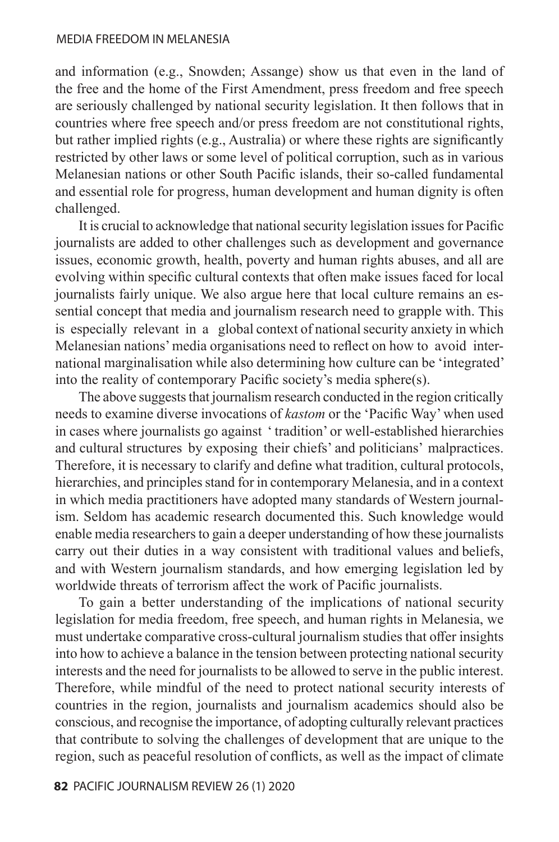and information (e.g., Snowden; Assange) show us that even in the land of the free and the home of the First Amendment, press freedom and free speech are seriously challenged by national security legislation. It then follows that in countries where free speech and/or press freedom are not constitutional rights, but rather implied rights (e.g., Australia) or where these rights are significantly restricted by other laws or some level of political corruption, such as in various Melanesian nations or other South Pacific islands, their so-called fundamental and essential role for progress, human development and human dignity is often challenged.

It is crucial to acknowledge that national security legislation issues for Pacific journalists are added to other challenges such as development and governance issues, economic growth, health, poverty and human rights abuses, and all are evolving within specific cultural contexts that often make issues faced for local journalists fairly unique. We also argue here that local culture remains an essential concept that media and journalism research need to grapple with. This is especially relevant in a global context of national security anxiety in which Melanesian nations' media organisations need to reflect on how to avoid international marginalisation while also determining how culture can be 'integrated' into the reality of contemporary Pacific society's media sphere(s).

The above suggests that journalism research conducted in the region critically needs to examine diverse invocations of *kastom* or the 'Pacific Way' when used in cases where journalists go against ' tradition' or well-established hierarchies and cultural structures by exposing their chiefs' and politicians' malpractices. Therefore, it is necessary to clarify and define what tradition, cultural protocols, hierarchies, and principles stand for in contemporary Melanesia, and in a context in which media practitioners have adopted many standards of Western journalism. Seldom has academic research documented this. Such knowledge would enable media researchers to gain a deeper understanding of how these journalists carry out their duties in a way consistent with traditional values and beliefs, and with Western journalism standards, and how emerging legislation led by worldwide threats of terrorism affect the work of Pacific journalists.

To gain a better understanding of the implications of national security legislation for media freedom, free speech, and human rights in Melanesia, we must undertake comparative cross-cultural journalism studies that offer insights into how to achieve a balance in the tension between protecting national security interests and the need for journalists to be allowed to serve in the public interest. Therefore, while mindful of the need to protect national security interests of countries in the region, journalists and journalism academics should also be conscious, and recognise the importance, of adopting culturally relevant practices that contribute to solving the challenges of development that are unique to the region, such as peaceful resolution of conflicts, as well as the impact of climate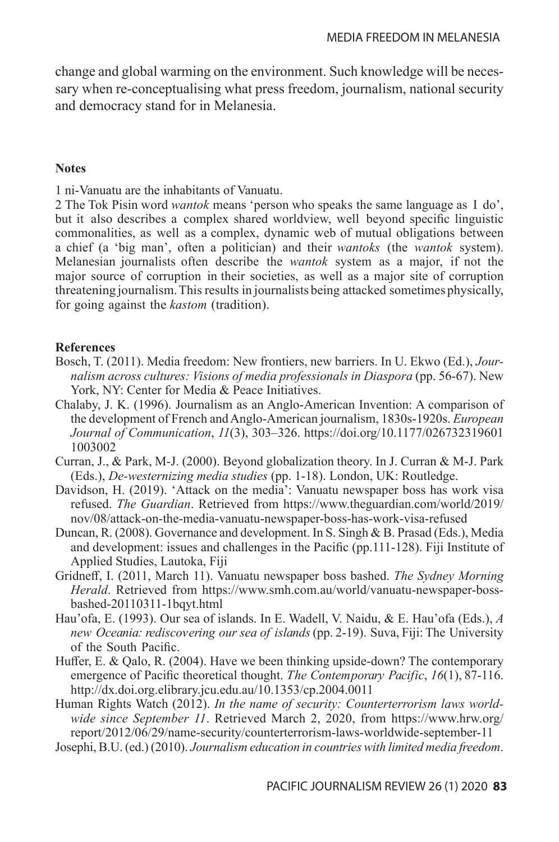change and global warming on the environment. Such knowledge will be necessary when re-conceptualising what press freedom, journalism, national security and democracy stand for in Melanesia.

#### **Notes**

1 ni-Vanuatu are the inhabitants of Vanuatu.

2 The Tok Pisin word *wantok* means 'person who speaks the same language as I do', but it also describes a complex shared worldview, well beyond specific linguistic commonalities, as well as a complex, dynamic web of mutual obligations between a chief (a 'big man', often a politician) and their *wantoks* (the *wantok* system). Melanesian journalists often describe the *wantok* system as a major, if not the major source of corruption in their societies, as well as a major site of corruption threatening journalism. This results in journalists being attacked sometimes physically, for going against the *kastom* (tradition).

# **References**

- Bosch, T. (2011). Media freedom: New frontiers, new barriers. In U. Ekwo (Ed.), *Journalism across cultures: Visions of media professionals in Diaspora* (pp. 56-67). New York, NY: Center for Media & Peace Initiatives.
- Chalaby, J. K. (1996). Journalism as an Anglo-American Invention: A comparison of the development of French and Anglo-American journalism, 1830s-1920s. *European Journal of Communication*, *11*(3), 303–326. https://doi.org/10.1177/026732319601 1003002
- Curran, J., & Park, M-J. (2000). Beyond globalization theory. In J. Curran & M-J. Park (Eds.), *De-westernizing media studies* (pp. 1-18). London, UK: Routledge.
- Davidson, H. (2019). 'Attack on the media': Vanuatu newspaper boss has work visa refused. *The Guardian*. Retrieved from https://www.theguardian.com/world/2019/ nov/08/attack-on-the-media-vanuatu-newspaper-boss-has-work-visa-refused
- Duncan, R. (2008). Governance and development. In S. Singh & B. Prasad (Eds.), Media and development: issues and challenges in the Pacific (pp.111-128). Fiji Institute of Applied Studies, Lautoka, Fiji
- Gridneff, I. (2011, March 11). Vanuatu newspaper boss bashed. *The Sydney Morning Herald*. Retrieved from https://www.smh.com.au/world/vanuatu-newspaper-bossbashed-20110311-1bqyt.html
- Hau'ofa, E. (1993). Our sea of islands. In E. Wadell, V. Naidu, & E. Hau'ofa (Eds.), *A new Oceania: rediscovering our sea of islands* (pp. 2-19). Suva, Fiji: The University of the South Pacific.
- Huffer, E. & Qalo, R. (2004). Have we been thinking upside-down? The contemporary emergence of Pacific theoretical thought. *The Contemporary Pacific*, *16*(1), 87-116. http://dx.doi.org.elibrary.jcu.edu.au/10.1353/cp.2004.0011

Human Rights Watch (2012). *In the name of security: Counterterrorism laws worldwide since September 11*. Retrieved March 2, 2020, from https://www.hrw.org/ report/2012/06/29/name-security/counterterrorism-laws-worldwide-september-11

Josephi, B.U. (ed.) (2010). *Journalism education in countries with limited media freedom*.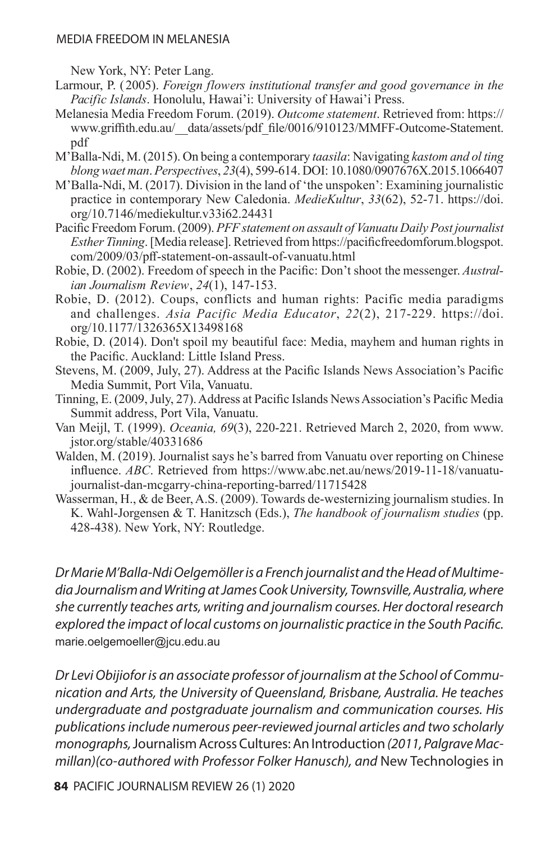New York, NY: Peter Lang.

- Larmour, P. (2005). *Foreign flowers institutional transfer and good governance in the Pacific Islands*. Honolulu, Hawai'i: University of Hawai'i Press.
- Melanesia Media Freedom Forum. (2019). *Outcome statement*. Retrieved from: https:// www.griffith.edu.au/\_\_data/assets/pdf\_file/0016/910123/MMFF-Outcome-Statement. pdf
- M'Balla-Ndi, M. (2015). On being a contemporary *taasila*: Navigating *kastom and ol ting blong waet man*. *Perspectives*, *23*(4), 599-614. DOI: 10.1080/0907676X.2015.1066407
- M'Balla-Ndi, M. (2017). Division in the land of 'the unspoken': Examining journalistic practice in contemporary New Caledonia. *MedieKultur*, *33*(62), 52-71. https://doi. org/10.7146/mediekultur.v33i62.24431
- Pacific Freedom Forum. (2009). *PFF statement on assault of Vanuatu Daily Post journalist Esther Tinning*. [Media release]. Retrieved from https://pacificfreedomforum.blogspot. com/2009/03/pff-statement-on-assault-of-vanuatu.html
- Robie, D. (2002). Freedom of speech in the Pacific: Don't shoot the messenger. *Australian Journalism Review*, *24*(1), 147-153.
- Robie, D. (2012). Coups, conflicts and human rights: Pacific media paradigms and challenges. *Asia Pacific Media Educator*, *22*(2), 217-229. https://doi. org/10.1177/1326365X13498168
- Robie, D. (2014). Don't spoil my beautiful face: Media, mayhem and human rights in the Pacific. Auckland: Little Island Press.
- Stevens, M. (2009, July, 27). Address at the Pacific Islands News Association's Pacific Media Summit, Port Vila, Vanuatu.
- Tinning, E. (2009, July, 27). Address at Pacific Islands News Association's Pacific Media Summit address, Port Vila, Vanuatu.
- Van Meijl, T. (1999). *Oceania, 69*(3), 220-221. Retrieved March 2, 2020, from www. jstor.org/stable/40331686
- Walden, M. (2019). Journalist says he's barred from Vanuatu over reporting on Chinese influence. *ABC*. Retrieved from https://www.abc.net.au/news/2019-11-18/vanuatujournalist-dan-mcgarry-china-reporting-barred/11715428
- Wasserman, H., & de Beer, A.S. (2009). Towards de-westernizing journalism studies. In K. Wahl-Jorgensen & T. Hanitzsch (Eds.), *The handbook of journalism studies* (pp. 428-438). New York, NY: Routledge.

*Dr Marie M'Balla-Ndi Oelgemöller is a French journalist and the Head of Multimedia Journalism and Writing at James Cook University, Townsville, Australia, where she currently teaches arts, writing and journalism courses. Her doctoral research explored the impact of local customs on journalistic practice in the South Pacific.*  marie.oelgemoeller@jcu.edu.au

*Dr Levi Obijiofor is an associate professor of journalism at the School of Communication and Arts, the University of Queensland, Brisbane, Australia. He teaches undergraduate and postgraduate journalism and communication courses. His publications include numerous peer-reviewed journal articles and two scholarly monographs,* Journalism Across Cultures: An Introduction *(2011, Palgrave Macmillan)(co-authored with Professor Folker Hanusch), and* New Technologies in

**84** PACIFIC JOURNALISM REVIEW 26 (1) 2020